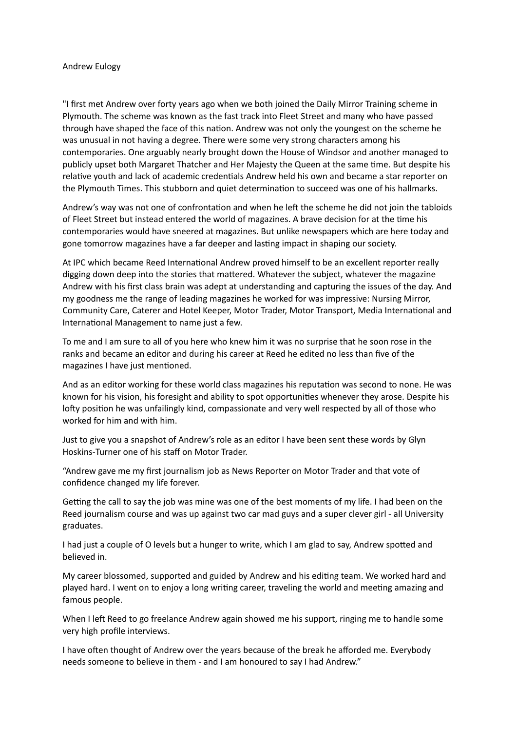## Andrew Eulogy

"I first met Andrew over forty years ago when we both joined the Daily Mirror Training scheme in Plymouth. The scheme was known as the fast track into Fleet Street and many who have passed through have shaped the face of this nation. Andrew was not only the youngest on the scheme he was unusual in not having a degree. There were some very strong characters among his contemporaries. One arguably nearly brought down the House of Windsor and another managed to publicly upset both Margaret Thatcher and Her Majesty the Queen at the same time. But despite his relative youth and lack of academic credentials Andrew held his own and became a star reporter on the Plymouth Times. This stubborn and quiet determination to succeed was one of his hallmarks.

Andrew's way was not one of confrontation and when he left the scheme he did not join the tabloids of Fleet Street but instead entered the world of magazines. A brave decision for at the time his contemporaries would have sneered at magazines. But unlike newspapers which are here today and gone tomorrow magazines have a far deeper and lasting impact in shaping our society.

At IPC which became Reed International Andrew proved himself to be an excellent reporter really digging down deep into the stories that mattered. Whatever the subject, whatever the magazine Andrew with his first class brain was adept at understanding and capturing the issues of the day. And my goodness me the range of leading magazines he worked for was impressive: Nursing Mirror, Community Care, Caterer and Hotel Keeper, Motor Trader, Motor Transport, Media International and International Management to name just a few.

To me and I am sure to all of you here who knew him it was no surprise that he soon rose in the ranks and became an editor and during his career at Reed he edited no less than five of the magazines I have just mentioned.

And as an editor working for these world class magazines his reputation was second to none. He was known for his vision, his foresight and ability to spot opportunities whenever they arose. Despite his lofty position he was unfailingly kind, compassionate and very well respected by all of those who worked for him and with him.

Just to give you a snapshot of Andrew's role as an editor I have been sent these words by Glyn Hoskins-Turner one of his staff on Motor Trader.

"Andrew gave me my first journalism job as News Reporter on Motor Trader and that vote of confidence changed my life forever.

Getting the call to say the job was mine was one of the best moments of my life. I had been on the Reed journalism course and was up against two car mad guys and a super clever girl - all University graduates.

I had just a couple of O levels but a hunger to write, which I am glad to say, Andrew spotted and believed in.

My career blossomed, supported and guided by Andrew and his editing team. We worked hard and played hard. I went on to enjoy a long writing career, traveling the world and meeting amazing and famous people.

When I left Reed to go freelance Andrew again showed me his support, ringing me to handle some very high profile interviews.

I have often thought of Andrew over the years because of the break he afforded me. Everybody needs someone to believe in them - and I am honoured to say I had Andrew."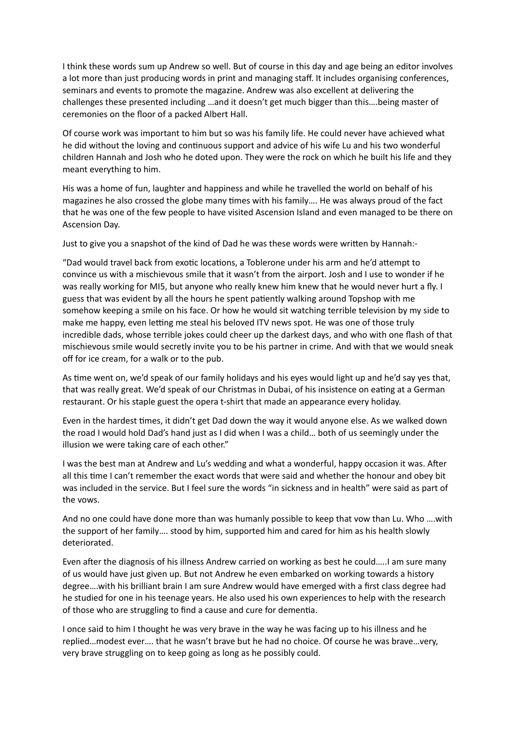I think these words sum up Andrew so well. But of course in this day and age being an editor involves a lot more than just producing words in print and managing staff. It includes organising conferences, seminars and events to promote the magazine. Andrew was also excellent at delivering the challenges these presented including …and it doesn't get much bigger than this….being master of ceremonies on the floor of a packed Albert Hall.

Of course work was important to him but so was his family life. He could never have achieved what he did without the loving and continuous support and advice of his wife Lu and his two wonderful children Hannah and Josh who he doted upon. They were the rock on which he built his life and they meant everything to him.

His was a home of fun, laughter and happiness and while he travelled the world on behalf of his magazines he also crossed the globe many times with his family…. He was always proud of the fact that he was one of the few people to have visited Ascension Island and even managed to be there on Ascension Day.

Just to give you a snapshot of the kind of Dad he was these words were written by Hannah:-

"Dad would travel back from exotic locations, a Toblerone under his arm and he'd attempt to convince us with a mischievous smile that it wasn't from the airport. Josh and I use to wonder if he was really working for MI5, but anyone who really knew him knew that he would never hurt a fly. I guess that was evident by all the hours he spent patiently walking around Topshop with me somehow keeping a smile on his face. Or how he would sit watching terrible television by my side to make me happy, even letting me steal his beloved ITV news spot. He was one of those truly incredible dads, whose terrible jokes could cheer up the darkest days, and who with one flash of that mischievous smile would secretly invite you to be his partner in crime. And with that we would sneak off for ice cream, for a walk or to the pub.

As time went on, we'd speak of our family holidays and his eyes would light up and he'd say yes that, that was really great. We'd speak of our Christmas in Dubai, of his insistence on eating at a German restaurant. Or his staple guest the opera t-shirt that made an appearance every holiday.

Even in the hardest times, it didn't get Dad down the way it would anyone else. As we walked down the road I would hold Dad's hand just as I did when I was a child… both of us seemingly under the illusion we were taking care of each other."

I was the best man at Andrew and Lu's wedding and what a wonderful, happy occasion it was. After all this time I can't remember the exact words that were said and whether the honour and obey bit was included in the service. But I feel sure the words "in sickness and in health" were said as part of the vows.

And no one could have done more than was humanly possible to keep that vow than Lu. Who ….with the support of her family…. stood by him, supported him and cared for him as his health slowly deteriorated.

Even after the diagnosis of his illness Andrew carried on working as best he could…..I am sure many of us would have just given up. But not Andrew he even embarked on working towards a history degree….with his brilliant brain I am sure Andrew would have emerged with a first class degree had he studied for one in his teenage years. He also used his own experiences to help with the research of those who are struggling to find a cause and cure for dementia.

I once said to him I thought he was very brave in the way he was facing up to his illness and he replied…modest ever…. that he wasn't brave but he had no choice. Of course he was brave…very, very brave struggling on to keep going as long as he possibly could.